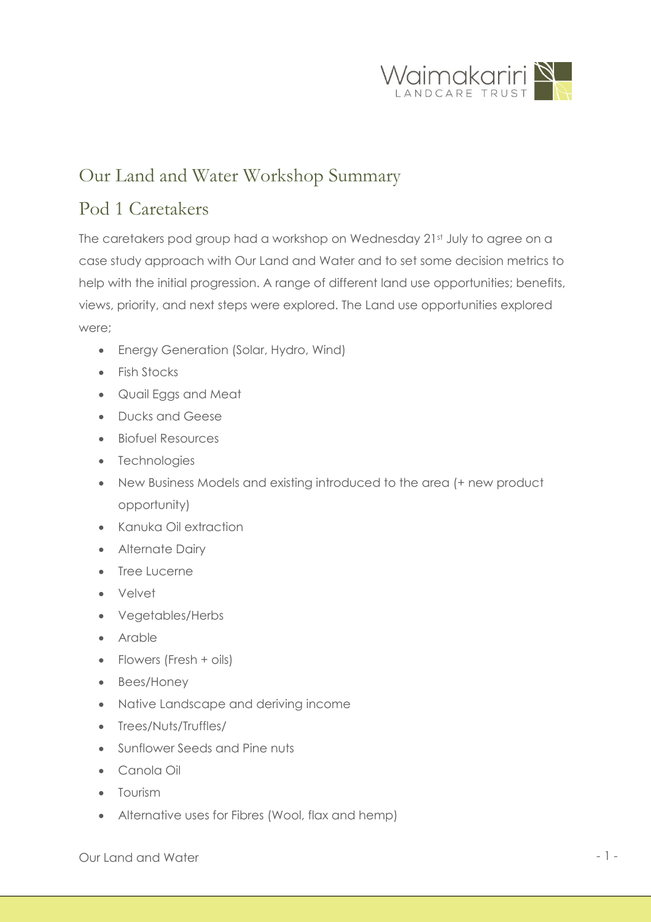

## Our Land and Water Workshop Summary

## Pod 1 Caretakers

The caretakers pod group had a workshop on Wednesday 21st July to agree on a case study approach with Our Land and Water and to set some decision metrics to help with the initial progression. A range of different land use opportunities; benefits, views, priority, and next steps were explored. The Land use opportunities explored were;

- Energy Generation (Solar, Hydro, Wind)
- Fish Stocks
- Quail Eggs and Meat
- Ducks and Geese
- Biofuel Resources
- Technologies
- New Business Models and existing introduced to the area (+ new product opportunity)
- Kanuka Oil extraction
- Alternate Dairy
- Tree Lucerne
- Velvet
- Vegetables/Herbs
- Arable
- Flowers (Fresh + oils)
- Bees/Honey
- Native Landscape and deriving income
- Trees/Nuts/Truffles/
- Sunflower Seeds and Pine nuts
- Canola Oil
- Tourism
- Alternative uses for Fibres (Wool, flax and hemp)